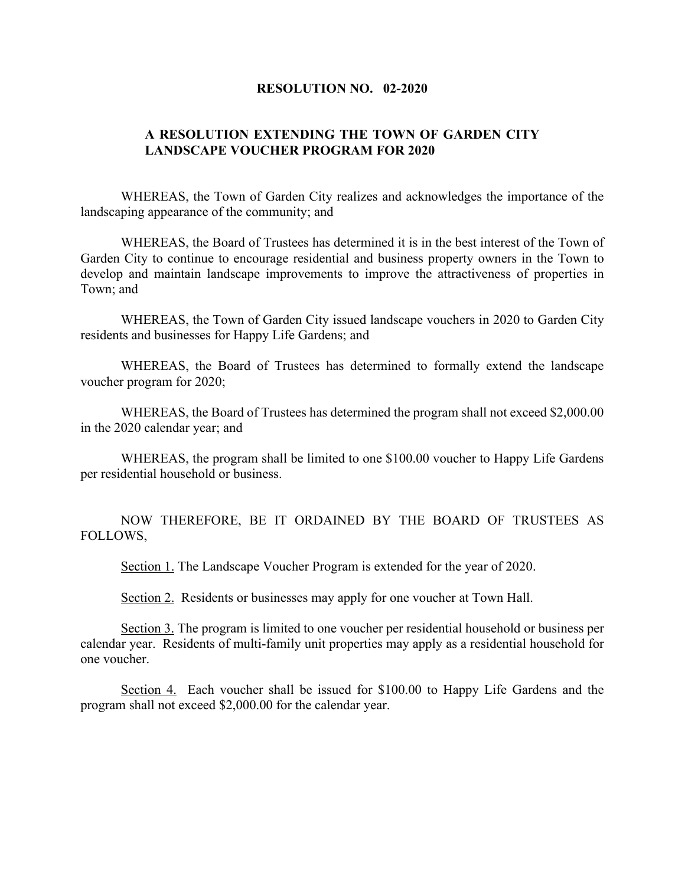## **RESOLUTION NO. 02-2020**

## **A RESOLUTION EXTENDING THE TOWN OF GARDEN CITY LANDSCAPE VOUCHER PROGRAM FOR 2020**

WHEREAS, the Town of Garden City realizes and acknowledges the importance of the landscaping appearance of the community; and

WHEREAS, the Board of Trustees has determined it is in the best interest of the Town of Garden City to continue to encourage residential and business property owners in the Town to develop and maintain landscape improvements to improve the attractiveness of properties in Town; and

WHEREAS, the Town of Garden City issued landscape vouchers in 2020 to Garden City residents and businesses for Happy Life Gardens; and

WHEREAS, the Board of Trustees has determined to formally extend the landscape voucher program for 2020;

WHEREAS, the Board of Trustees has determined the program shall not exceed \$2,000.00 in the 2020 calendar year; and

WHEREAS, the program shall be limited to one \$100.00 voucher to Happy Life Gardens per residential household or business.

NOW THEREFORE, BE IT ORDAINED BY THE BOARD OF TRUSTEES AS FOLLOWS,

Section 1. The Landscape Voucher Program is extended for the year of 2020.

Section 2. Residents or businesses may apply for one voucher at Town Hall.

Section 3. The program is limited to one voucher per residential household or business per calendar year. Residents of multi-family unit properties may apply as a residential household for one voucher.

Section 4. Each voucher shall be issued for \$100.00 to Happy Life Gardens and the program shall not exceed \$2,000.00 for the calendar year.